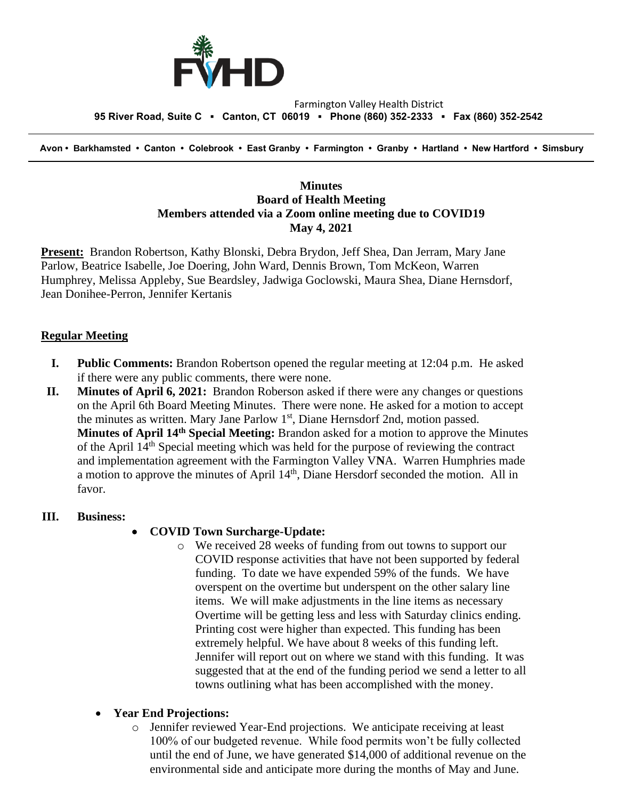

#### Farmington Valley Health District  **95 River Road, Suite C ▪ Canton, CT 06019 ▪ Phone (860) 352-2333 ▪ Fax (860) 352-2542**

 **Avon • Barkhamsted • Canton • Colebrook • East Granby • Farmington • Granby • Hartland • New Hartford • Simsbury**

## **Minutes Board of Health Meeting Members attended via a Zoom online meeting due to COVID19 May 4, 2021**

**Present:** Brandon Robertson, Kathy Blonski, Debra Brydon, Jeff Shea, Dan Jerram, Mary Jane Parlow, Beatrice Isabelle, Joe Doering, John Ward, Dennis Brown, Tom McKeon, Warren Humphrey, Melissa Appleby, Sue Beardsley, Jadwiga Goclowski, Maura Shea, Diane Hernsdorf, Jean Donihee-Perron, Jennifer Kertanis

### **Regular Meeting**

- **I. Public Comments:** Brandon Robertson opened the regular meeting at 12:04 p.m. He asked if there were any public comments, there were none.
- **II. Minutes of April 6, 2021:** Brandon Roberson asked if there were any changes or questions on the April 6th Board Meeting Minutes. There were none. He asked for a motion to accept the minutes as written. Mary Jane Parlow 1<sup>st</sup>, Diane Hernsdorf 2nd, motion passed. **Minutes of April 14th Special Meeting:** Brandon asked for a motion to approve the Minutes of the April  $14<sup>th</sup>$  Special meeting which was held for the purpose of reviewing the contract and implementation agreement with the Farmington Valley V**N**A. Warren Humphries made a motion to approve the minutes of April 14th, Diane Hersdorf seconded the motion. All in favor.

#### **III. Business:**

### • **COVID Town Surcharge-Update:**

o We received 28 weeks of funding from out towns to support our COVID response activities that have not been supported by federal funding. To date we have expended 59% of the funds. We have overspent on the overtime but underspent on the other salary line items. We will make adjustments in the line items as necessary Overtime will be getting less and less with Saturday clinics ending. Printing cost were higher than expected. This funding has been extremely helpful. We have about 8 weeks of this funding left. Jennifer will report out on where we stand with this funding. It was suggested that at the end of the funding period we send a letter to all towns outlining what has been accomplished with the money.

### • **Year End Projections:**

o Jennifer reviewed Year-End projections. We anticipate receiving at least 100% of our budgeted revenue. While food permits won't be fully collected until the end of June, we have generated \$14,000 of additional revenue on the environmental side and anticipate more during the months of May and June.